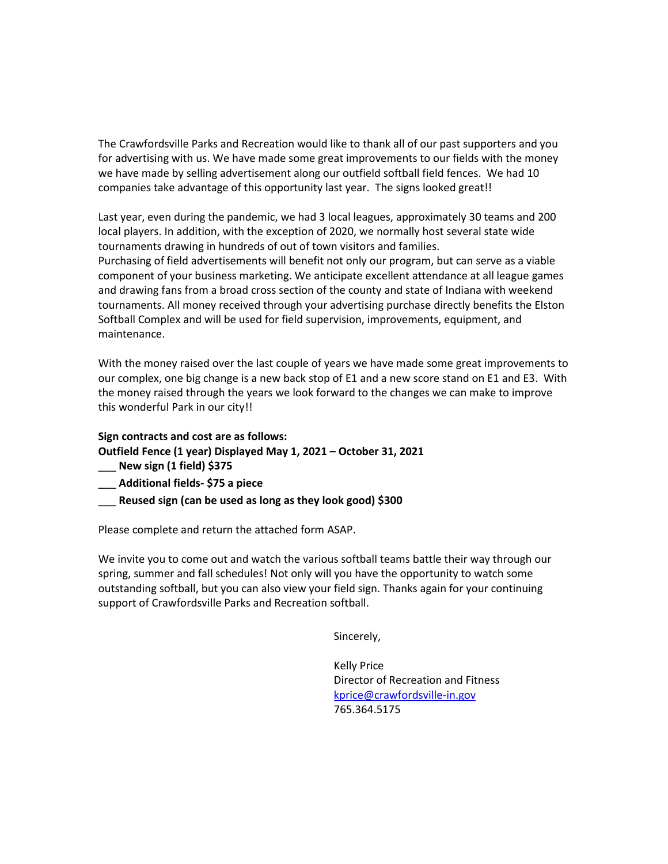The Crawfordsville Parks and Recreation would like to thank all of our past supporters and you for advertising with us. We have made some great improvements to our fields with the money we have made by selling advertisement along our outfield softball field fences. We had 10 companies take advantage of this opportunity last year. The signs looked great!!

Last year, even during the pandemic, we had 3 local leagues, approximately 30 teams and 200 local players. In addition, with the exception of 2020, we normally host several state wide tournaments drawing in hundreds of out of town visitors and families.

Purchasing of field advertisements will benefit not only our program, but can serve as a viable component of your business marketing. We anticipate excellent attendance at all league games and drawing fans from a broad cross section of the county and state of Indiana with weekend tournaments. All money received through your advertising purchase directly benefits the Elston Softball Complex and will be used for field supervision, improvements, equipment, and maintenance.

With the money raised over the last couple of years we have made some great improvements to our complex, one big change is a new back stop of E1 and a new score stand on E1 and E3. With the money raised through the years we look forward to the changes we can make to improve this wonderful Park in our city!!

**Sign contracts and cost are as follows: Outfield Fence (1 year) Displayed May 1, 2021 – October 31, 2021** \_\_\_ **New sign (1 field) \$375**

**\_\_\_ Additional fields- \$75 a piece** 

\_\_\_ **Reused sign (can be used as long as they look good) \$300**

Please complete and return the attached form ASAP.

We invite you to come out and watch the various softball teams battle their way through our spring, summer and fall schedules! Not only will you have the opportunity to watch some outstanding softball, but you can also view your field sign. Thanks again for your continuing support of Crawfordsville Parks and Recreation softball.

Sincerely,

Kelly Price Director of Recreation and Fitness [kprice@crawfordsville-in.gov](mailto:kprice@crawfordsville-in.gov) 765.364.5175